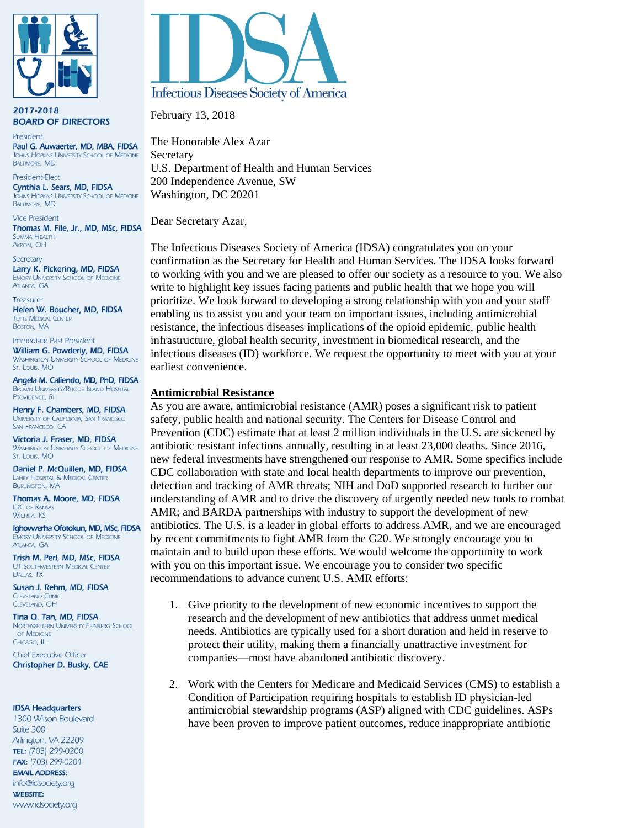

2017-2018 **BOARD OF DIRECTORS** 

President Paul G. Auwaerter, MD, MBA, FIDSA **JOHNS HOPKINS UNIVERSITY SCHOOL OF MEDICINE BALTIMORE, MD** 

President-Flect Cynthia L. Sears, MD, FIDSA OHNS HOPKINS UNIVERSITY SCHOOL OF MEDICINE **BALTIMORE, MD** 

**Vice President** Thomas M. File, Jr., MD, MSc, FIDSA **SUMMA HEALTH** AKRON, OH

Secretary Larry K. Pickering, MD, FIDSA **EMORY UNIVERSITY SCHOOL OF MEDICINE ATLANTA, GA** 

Treasurer Helen W. Boucher, MD, FIDSA **TUFTS MEDICAL CENTER BOSTON, MA** 

Immediate Past President William G. Powderly, MD, FIDSA **WASHINGTON UNIVERSITY SCHOOL OF MEDICINE** St. Louis, MO

Angela M. Caliendo, MD, PhD, FIDSA **BROWN UNIVERSITY/RHODE ISLAND HOSPITAL** PROVIDENCE, RI

Henry F. Chambers, MD, FIDSA UNIVERSITY OF CALIFORNIA, SAN FRANCISCO SAN FRANCISCO, CA

Victoria J. Fraser, MD, FIDSA **WASHINGTON UNIVERSITY SCHOOL OF MEDICINE** St. Louis, MO

Daniel P. McQuillen, MD, FIDSA LAHEY HOSPITAL & MEDICAL CENTER **BURLINGTON, MA** 

Thomas A. Moore, MD, FIDSA **IDC OF KANSAS WICHITA, KS** 

Ighovwerha Ofotokun, MD, MSc, FIDSA **EMORY UNIVERSITY SCHOOL OF MEDICINE** ATI ANTA GA

Trish M. Perl, MD, MSc, FIDSA UT SOUTHWESTERN MEDICAL CENTER DALLAS, TX

Susan J. Rehm, MD, FIDSA **CLEVELAND CLINIC** CLEVELAND, OH

Tina Q. Tan, MD, FIDSA NORTHWESTERN UNIVERSITY FEINBERG SCHOOL OF MEDICINE CHICAGO, IL

**Chief Executive Officer** Christopher D. Busky, CAE

#### **IDSA Headquarters**

1300 Wilson Boulevard Suite 300 Arlington, VA 22209 TEL: (703) 299-0200 FAX: (703) 299-0204 **EMAIL ADDRESS:** info@idsociety.org **WEBSITE:** www.idsociety.org



February 13, 2018

The Honorable Alex Azar Secretary U.S. Department of Health and Human Services 200 Independence Avenue, SW Washington, DC 20201

Dear Secretary Azar,

The Infectious Diseases Society of America (IDSA) congratulates you on your confirmation as the Secretary for Health and Human Services. The IDSA looks forward to working with you and we are pleased to offer our society as a resource to you. We also write to highlight key issues facing patients and public health that we hope you will prioritize. We look forward to developing a strong relationship with you and your staff enabling us to assist you and your team on important issues, including antimicrobial resistance, the infectious diseases implications of the opioid epidemic, public health infrastructure, global health security, investment in biomedical research, and the infectious diseases (ID) workforce. We request the opportunity to meet with you at your earliest convenience.

## **Antimicrobial Resistance**

As you are aware, antimicrobial resistance (AMR) poses a significant risk to patient safety, public health and national security. The Centers for Disease Control and Prevention (CDC) estimate that at least 2 million individuals in the U.S. are sickened by antibiotic resistant infections annually, resulting in at least 23,000 deaths. Since 2016, new federal investments have strengthened our response to AMR. Some specifics include CDC collaboration with state and local health departments to improve our prevention, detection and tracking of AMR threats; NIH and DoD supported research to further our understanding of AMR and to drive the discovery of urgently needed new tools to combat AMR; and BARDA partnerships with industry to support the development of new antibiotics. The U.S. is a leader in global efforts to address AMR, and we are encouraged by recent commitments to fight AMR from the G20. We strongly encourage you to maintain and to build upon these efforts. We would welcome the opportunity to work with you on this important issue. We encourage you to consider two specific recommendations to advance current U.S. AMR efforts:

- 1. Give priority to the development of new economic incentives to support the research and the development of new antibiotics that address unmet medical needs. Antibiotics are typically used for a short duration and held in reserve to protect their utility, making them a financially unattractive investment for companies—most have abandoned antibiotic discovery.
- 2. Work with the Centers for Medicare and Medicaid Services (CMS) to establish a Condition of Participation requiring hospitals to establish ID physician-led antimicrobial stewardship programs (ASP) aligned with CDC guidelines. ASPs have been proven to improve patient outcomes, reduce inappropriate antibiotic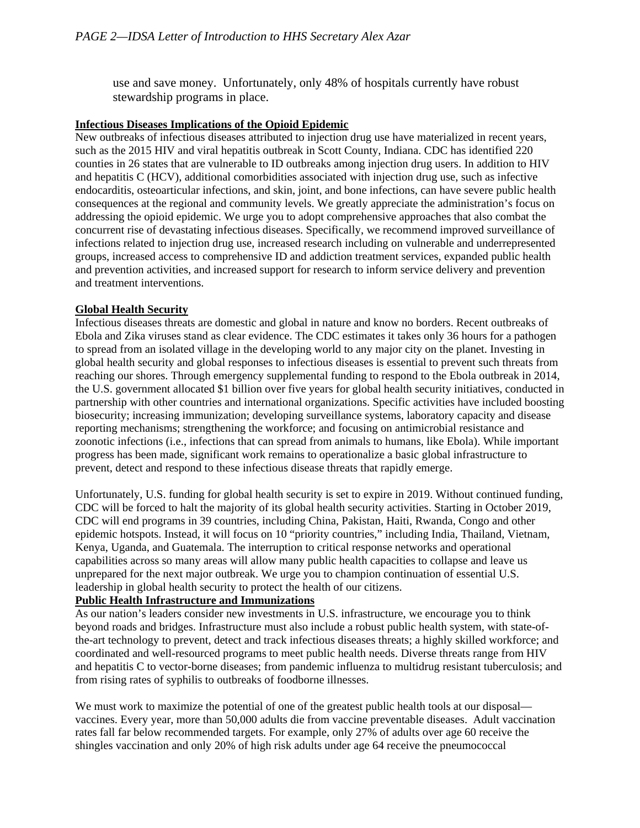use and save money. Unfortunately, only 48% of hospitals currently have robust stewardship programs in place.

# **Infectious Diseases Implications of the Opioid Epidemic**

New outbreaks of infectious diseases attributed to injection drug use have materialized in recent years, such as the 2015 HIV and viral hepatitis outbreak in Scott County, Indiana. CDC has identified 220 counties in 26 states that are vulnerable to ID outbreaks among injection drug users. In addition to HIV and hepatitis C (HCV), additional comorbidities associated with injection drug use, such as infective endocarditis, osteoarticular infections, and skin, joint, and bone infections, can have severe public health consequences at the regional and community levels. We greatly appreciate the administration's focus on addressing the opioid epidemic. We urge you to adopt comprehensive approaches that also combat the concurrent rise of devastating infectious diseases. Specifically, we recommend improved surveillance of infections related to injection drug use, increased research including on vulnerable and underrepresented groups, increased access to comprehensive ID and addiction treatment services, expanded public health and prevention activities, and increased support for research to inform service delivery and prevention and treatment interventions.

# **Global Health Security**

Infectious diseases threats are domestic and global in nature and know no borders. Recent outbreaks of Ebola and Zika viruses stand as clear evidence. The CDC estimates it takes only 36 hours for a pathogen to spread from an isolated village in the developing world to any major city on the planet. Investing in global health security and global responses to infectious diseases is essential to prevent such threats from reaching our shores. Through emergency supplemental funding to respond to the Ebola outbreak in 2014, the U.S. government allocated \$1 billion over five years for global health security initiatives, conducted in partnership with other countries and international organizations. Specific activities have included boosting biosecurity; increasing immunization; developing surveillance systems, laboratory capacity and disease reporting mechanisms; strengthening the workforce; and focusing on antimicrobial resistance and zoonotic infections (i.e., infections that can spread from animals to humans, like Ebola). While important progress has been made, significant work remains to operationalize a basic global infrastructure to prevent, detect and respond to these infectious disease threats that rapidly emerge.

Unfortunately, U.S. funding for global health security is set to expire in 2019. Without continued funding, CDC will be forced to halt the majority of its global health security activities. Starting in October 2019, CDC will end programs in 39 countries, including China, Pakistan, Haiti, Rwanda, Congo and other epidemic hotspots. Instead, it will focus on 10 "priority countries," including India, Thailand, Vietnam, Kenya, Uganda, and Guatemala. The interruption to critical response networks and operational capabilities across so many areas will allow many public health capacities to collapse and leave us unprepared for the next major outbreak. We urge you to champion continuation of essential U.S. leadership in global health security to protect the health of our citizens.

# **Public Health Infrastructure and Immunizations**

As our nation's leaders consider new investments in U.S. infrastructure, we encourage you to think beyond roads and bridges. Infrastructure must also include a robust public health system, with state-ofthe-art technology to prevent, detect and track infectious diseases threats; a highly skilled workforce; and coordinated and well-resourced programs to meet public health needs. Diverse threats range from HIV and hepatitis C to vector-borne diseases; from pandemic influenza to multidrug resistant tuberculosis; and from rising rates of syphilis to outbreaks of foodborne illnesses.

We must work to maximize the potential of one of the greatest public health tools at our disposal vaccines. Every year, more than 50,000 adults die from vaccine preventable diseases. Adult vaccination rates fall far below recommended targets. For example, only 27% of adults over age 60 receive the shingles vaccination and only 20% of high risk adults under age 64 receive the pneumococcal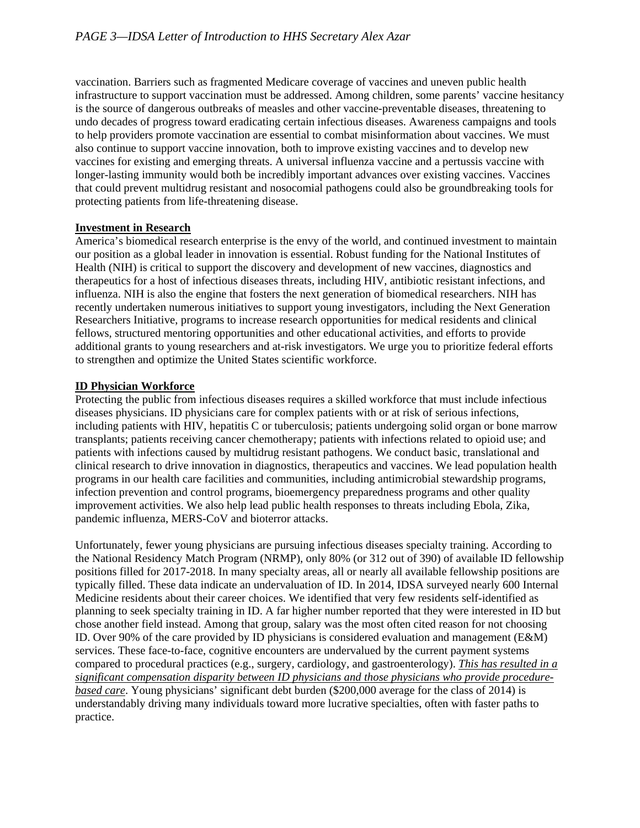vaccination. Barriers such as fragmented Medicare coverage of vaccines and uneven public health infrastructure to support vaccination must be addressed. Among children, some parents' vaccine hesitancy is the source of dangerous outbreaks of measles and other vaccine-preventable diseases, threatening to undo decades of progress toward eradicating certain infectious diseases. Awareness campaigns and tools to help providers promote vaccination are essential to combat misinformation about vaccines. We must also continue to support vaccine innovation, both to improve existing vaccines and to develop new vaccines for existing and emerging threats. A universal influenza vaccine and a pertussis vaccine with longer-lasting immunity would both be incredibly important advances over existing vaccines. Vaccines that could prevent multidrug resistant and nosocomial pathogens could also be groundbreaking tools for protecting patients from life-threatening disease.

## **Investment in Research**

America's biomedical research enterprise is the envy of the world, and continued investment to maintain our position as a global leader in innovation is essential. Robust funding for the National Institutes of Health (NIH) is critical to support the discovery and development of new vaccines, diagnostics and therapeutics for a host of infectious diseases threats, including HIV, antibiotic resistant infections, and influenza. NIH is also the engine that fosters the next generation of biomedical researchers. NIH has recently undertaken numerous initiatives to support young investigators, including the Next Generation Researchers Initiative, programs to increase research opportunities for medical residents and clinical fellows, structured mentoring opportunities and other educational activities, and efforts to provide additional grants to young researchers and at-risk investigators. We urge you to prioritize federal efforts to strengthen and optimize the United States scientific workforce.

## **ID Physician Workforce**

Protecting the public from infectious diseases requires a skilled workforce that must include infectious diseases physicians. ID physicians care for complex patients with or at risk of serious infections, including patients with HIV, hepatitis C or tuberculosis; patients undergoing solid organ or bone marrow transplants; patients receiving cancer chemotherapy; patients with infections related to opioid use; and patients with infections caused by multidrug resistant pathogens. We conduct basic, translational and clinical research to drive innovation in diagnostics, therapeutics and vaccines. We lead population health programs in our health care facilities and communities, including antimicrobial stewardship programs, infection prevention and control programs, bioemergency preparedness programs and other quality improvement activities. We also help lead public health responses to threats including Ebola, Zika, pandemic influenza, MERS-CoV and bioterror attacks.

Unfortunately, fewer young physicians are pursuing infectious diseases specialty training. According to the National Residency Match Program (NRMP), only 80% (or 312 out of 390) of available ID fellowship positions filled for 2017-2018. In many specialty areas, all or nearly all available fellowship positions are typically filled. These data indicate an undervaluation of ID. In 2014, IDSA surveyed nearly 600 Internal Medicine residents about their career choices. We identified that very few residents self-identified as planning to seek specialty training in ID. A far higher number reported that they were interested in ID but chose another field instead. Among that group, salary was the most often cited reason for not choosing ID. Over 90% of the care provided by ID physicians is considered evaluation and management (E&M) services. These face-to-face, cognitive encounters are undervalued by the current payment systems compared to procedural practices (e.g., surgery, cardiology, and gastroenterology). *This has resulted in a significant compensation disparity between ID physicians and those physicians who provide procedurebased care*. Young physicians' significant debt burden (\$200,000 average for the class of 2014) is understandably driving many individuals toward more lucrative specialties, often with faster paths to practice.